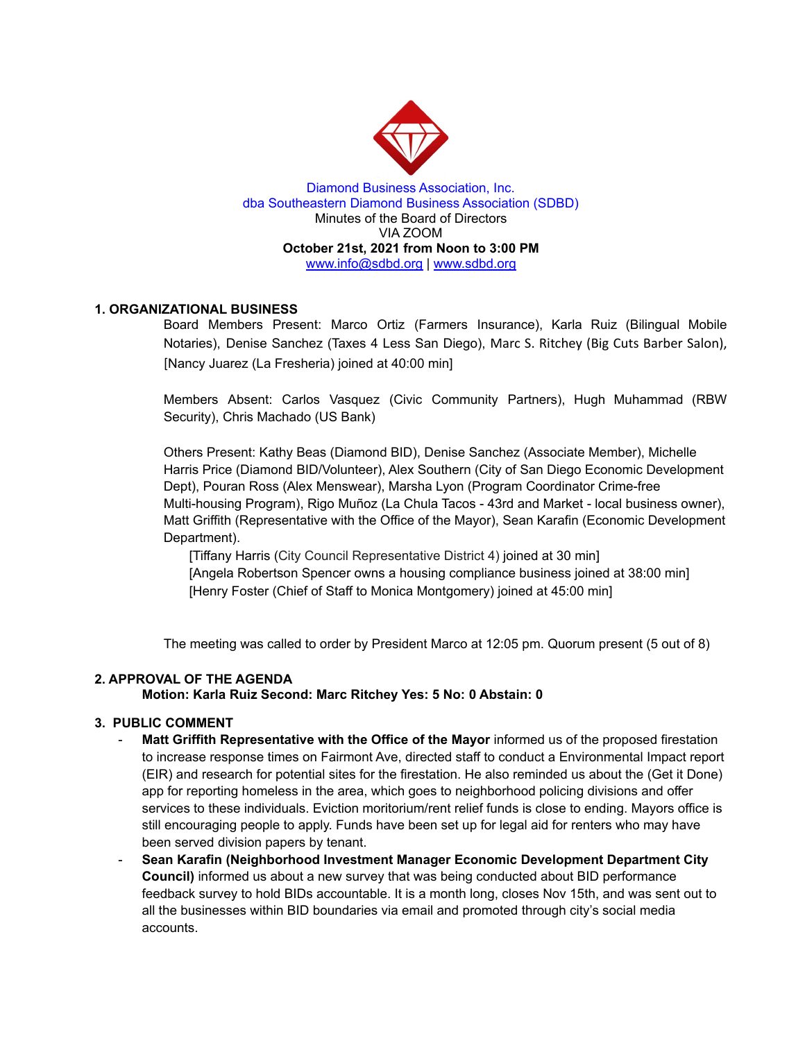

Diamond Business Association, Inc. dba Southeastern Diamond Business Association (SDBD) Minutes of the Board of Directors VIA ZOOM **October 21st, 2021 from Noon to 3:00 PM** www.info@sdbd.org | [www.sdbd.org](http://www.sdbd.org/)

# **1. ORGANIZATIONAL BUSINESS**

Board Members Present: Marco Ortiz (Farmers Insurance), Karla Ruiz (Bilingual Mobile Notaries), Denise Sanchez (Taxes 4 Less San Diego), Marc S. Ritchey (Big Cuts Barber Salon), [Nancy Juarez (La Fresheria) joined at 40:00 min]

Members Absent: Carlos Vasquez (Civic Community Partners), Hugh Muhammad (RBW Security), Chris Machado (US Bank)

Others Present: Kathy Beas (Diamond BID), Denise Sanchez (Associate Member), Michelle Harris Price (Diamond BID/Volunteer), Alex Southern (City of San Diego Economic Development Dept), Pouran Ross (Alex Menswear), Marsha Lyon (Program Coordinator Crime-free Multi-housing Program), Rigo Muñoz (La Chula Tacos - 43rd and Market - local business owner), Matt Griffith (Representative with the Office of the Mayor), Sean Karafin (Economic Development Department).

[Tiffany Harris (City Council Representative District 4) joined at 30 min] [Angela Robertson Spencer owns a housing compliance business joined at 38:00 min] [Henry Foster (Chief of Staff to Monica Montgomery) joined at 45:00 min]

The meeting was called to order by President Marco at 12:05 pm. Quorum present (5 out of 8)

# **2. APPROVAL OF THE AGENDA**

**Motion: Karla Ruiz Second: Marc Ritchey Yes: 5 No: 0 Abstain: 0**

# **3. PUBLIC COMMENT**

- **Matt Griffith Representative with the Office of the Mayor** informed us of the proposed firestation to increase response times on Fairmont Ave, directed staff to conduct a Environmental Impact report (EIR) and research for potential sites for the firestation. He also reminded us about the (Get it Done) app for reporting homeless in the area, which goes to neighborhood policing divisions and offer services to these individuals. Eviction moritorium/rent relief funds is close to ending. Mayors office is still encouraging people to apply. Funds have been set up for legal aid for renters who may have been served division papers by tenant.
- **Sean Karafin (Neighborhood Investment Manager Economic Development Department City Council)** informed us about a new survey that was being conducted about BID performance feedback survey to hold BIDs accountable. It is a month long, closes Nov 15th, and was sent out to all the businesses within BID boundaries via email and promoted through city's social media accounts.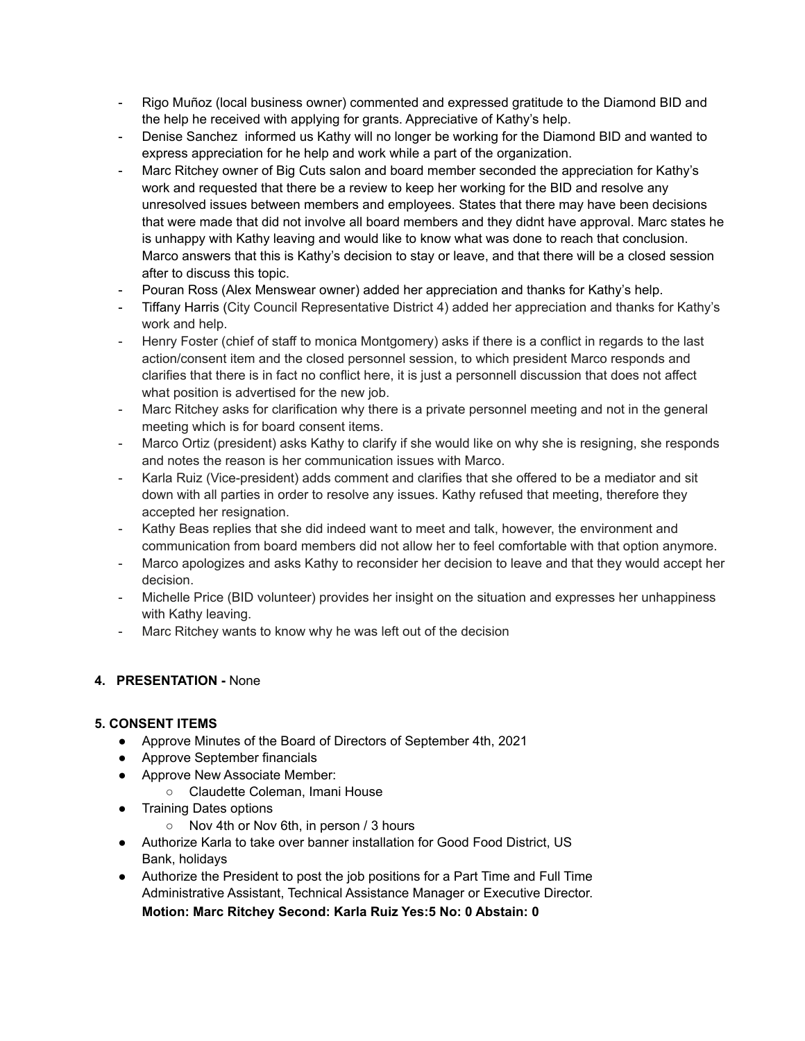- Rigo Muñoz (local business owner) commented and expressed gratitude to the Diamond BID and the help he received with applying for grants. Appreciative of Kathy's help.
- Denise Sanchez informed us Kathy will no longer be working for the Diamond BID and wanted to express appreciation for he help and work while a part of the organization.
- Marc Ritchey owner of Big Cuts salon and board member seconded the appreciation for Kathy's work and requested that there be a review to keep her working for the BID and resolve any unresolved issues between members and employees. States that there may have been decisions that were made that did not involve all board members and they didnt have approval. Marc states he is unhappy with Kathy leaving and would like to know what was done to reach that conclusion. Marco answers that this is Kathy's decision to stay or leave, and that there will be a closed session after to discuss this topic.
- Pouran Ross (Alex Menswear owner) added her appreciation and thanks for Kathy's help.
- Tiffany Harris (City Council Representative District 4) added her appreciation and thanks for Kathy's work and help.
- Henry Foster (chief of staff to monica Montgomery) asks if there is a conflict in regards to the last action/consent item and the closed personnel session, to which president Marco responds and clarifies that there is in fact no conflict here, it is just a personnell discussion that does not affect what position is advertised for the new job.
- Marc Ritchey asks for clarification why there is a private personnel meeting and not in the general meeting which is for board consent items.
- Marco Ortiz (president) asks Kathy to clarify if she would like on why she is resigning, she responds and notes the reason is her communication issues with Marco.
- Karla Ruiz (Vice-president) adds comment and clarifies that she offered to be a mediator and sit down with all parties in order to resolve any issues. Kathy refused that meeting, therefore they accepted her resignation.
- Kathy Beas replies that she did indeed want to meet and talk, however, the environment and communication from board members did not allow her to feel comfortable with that option anymore.
- Marco apologizes and asks Kathy to reconsider her decision to leave and that they would accept her decision.
- Michelle Price (BID volunteer) provides her insight on the situation and expresses her unhappiness with Kathy leaving.
- Marc Ritchey wants to know why he was left out of the decision

# **4. PRESENTATION -** None

# **5. CONSENT ITEMS**

- Approve Minutes of the Board of Directors of September 4th, 2021
- Approve September financials
- Approve New Associate Member:
	- Claudette Coleman, Imani House
- Training Dates options
	- Nov 4th or Nov 6th, in person / 3 hours
- Authorize Karla to take over banner installation for Good Food District, US Bank, holidays
- Authorize the President to post the job positions for a Part Time and Full Time Administrative Assistant, Technical Assistance Manager or Executive Director. **Motion: Marc Ritchey Second: Karla Ruiz Yes:5 No: 0 Abstain: 0**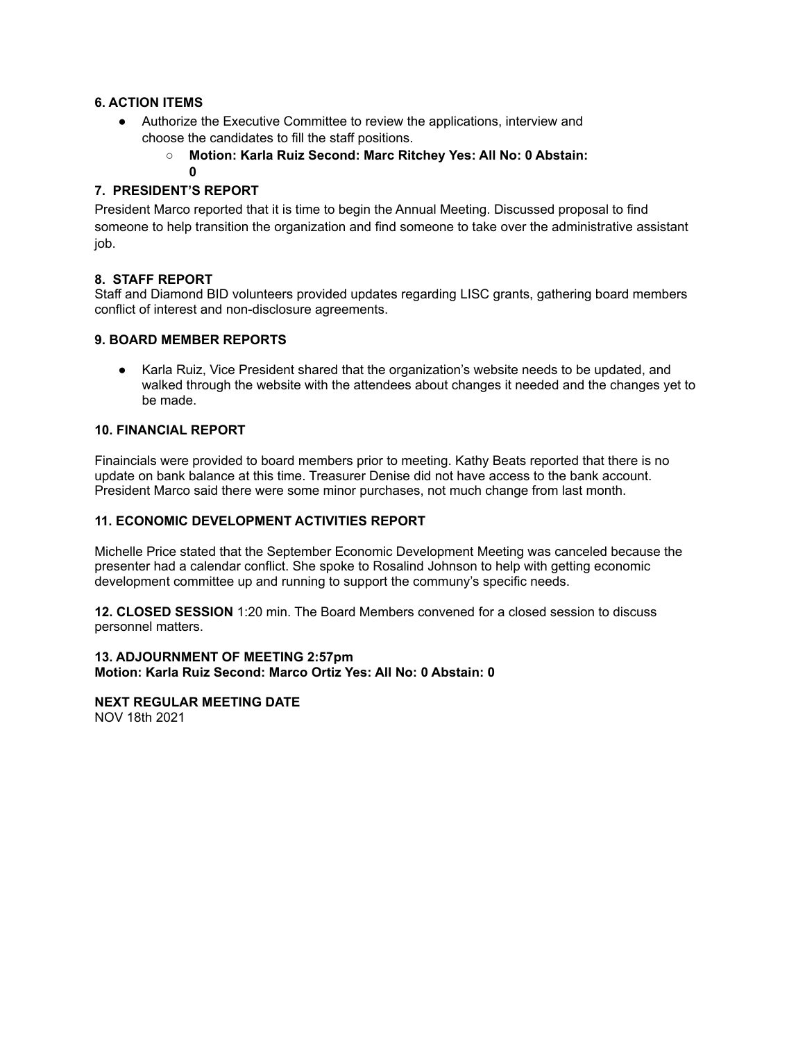# **6. ACTION ITEMS**

- Authorize the Executive Committee to review the applications, interview and choose the candidates to fill the staff positions.
	- **○ Motion: Karla Ruiz Second: Marc Ritchey Yes: All No: 0 Abstain:**

**0**

# **7. PRESIDENT'S REPORT**

President Marco reported that it is time to begin the Annual Meeting. Discussed proposal to find someone to help transition the organization and find someone to take over the administrative assistant job.

#### **8. STAFF REPORT**

Staff and Diamond BID volunteers provided updates regarding LISC grants, gathering board members conflict of interest and non-disclosure agreements.

# **9. BOARD MEMBER REPORTS**

● Karla Ruiz, Vice President shared that the organization's website needs to be updated, and walked through the website with the attendees about changes it needed and the changes yet to be made.

#### **10. FINANCIAL REPORT**

Finaincials were provided to board members prior to meeting. Kathy Beats reported that there is no update on bank balance at this time. Treasurer Denise did not have access to the bank account. President Marco said there were some minor purchases, not much change from last month.

#### **11. ECONOMIC DEVELOPMENT ACTIVITIES REPORT**

Michelle Price stated that the September Economic Development Meeting was canceled because the presenter had a calendar conflict. She spoke to Rosalind Johnson to help with getting economic development committee up and running to support the communy's specific needs.

**12. CLOSED SESSION** 1:20 min. The Board Members convened for a closed session to discuss personnel matters.

#### **13. ADJOURNMENT OF MEETING 2:57pm Motion: Karla Ruiz Second: Marco Ortiz Yes: All No: 0 Abstain: 0**

#### **NEXT REGULAR MEETING DATE** NOV 18th 2021